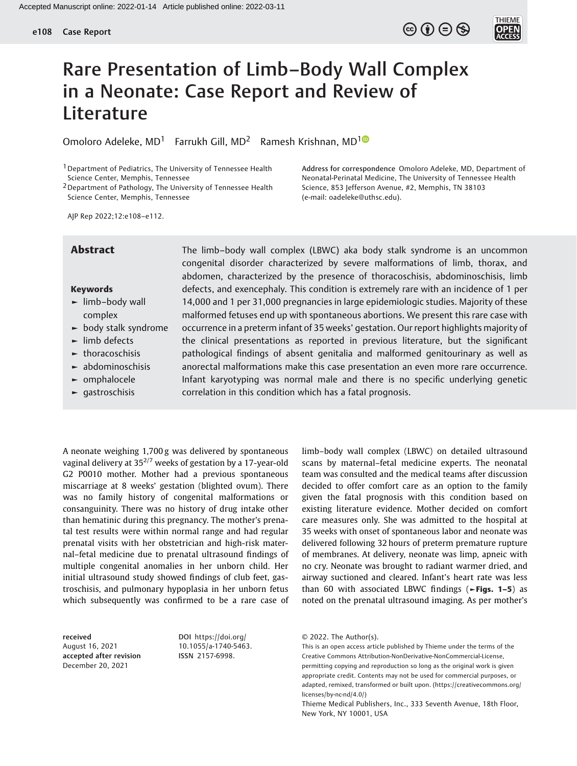## $\circledcirc$   $\oplus$   $\circledcirc$



# Rare Presentation of Limb–Body Wall Complex in a Neonate: Case Report and Review of Literature

Omoloro Adeleke, MD<sup>[1](https://orcid.org/0000-0003-1542-5127)</sup> Farrukh Gill, MD<sup>2</sup> Ramesh Krishnan, MD<sup>10</sup>

1Department of Pediatrics, The University of Tennessee Health Science Center, Memphis, Tennessee

2Department of Pathology, The University of Tennessee Health Science Center, Memphis, Tennessee

Address for correspondence Omoloro Adeleke, MD, Department of Neonatal-Perinatal Medicine, The University of Tennessee Health Science, 853 Jefferson Avenue, #2, Memphis, TN 38103 (e-mail: [oadeleke@uthsc.edu](mailto:oadeleke@uthsc.edu)).

AJP Rep 2022;12:e108–e112.

#### Keywords

- ► limb–body wall complex
- ► body stalk syndrome
- ► limb defects
- ► thoracoschisis
- ► abdominoschisis
- ► omphalocele
- ► gastroschisis

Abstract The limb-body wall complex (LBWC) aka body stalk syndrome is an uncommon congenital disorder characterized by severe malformations of limb, thorax, and abdomen, characterized by the presence of thoracoschisis, abdominoschisis, limb defects, and exencephaly. This condition is extremely rare with an incidence of 1 per 14,000 and 1 per 31,000 pregnancies in large epidemiologic studies. Majority of these malformed fetuses end up with spontaneous abortions. We present this rare case with occurrence in a preterm infant of 35 weeks' gestation. Our report highlights majority of the clinical presentations as reported in previous literature, but the significant pathological findings of absent genitalia and malformed genitourinary as well as anorectal malformations make this case presentation an even more rare occurrence. Infant karyotyping was normal male and there is no specific underlying genetic correlation in this condition which has a fatal prognosis.

A neonate weighing 1,700 g was delivered by spontaneous vaginal delivery at  $35^{2/7}$  weeks of gestation by a 17-year-old G2 P0010 mother. Mother had a previous spontaneous miscarriage at 8 weeks' gestation (blighted ovum). There was no family history of congenital malformations or consanguinity. There was no history of drug intake other than hematinic during this pregnancy. The mother's prenatal test results were within normal range and had regular prenatal visits with her obstetrician and high-risk maternal–fetal medicine due to prenatal ultrasound findings of multiple congenital anomalies in her unborn child. Her initial ultrasound study showed findings of club feet, gastroschisis, and pulmonary hypoplasia in her unborn fetus which subsequently was confirmed to be a rare case of

received August 16, 2021 accepted after revision December 20, 2021

DOI [https://doi.org/](https://doi.org/10.1055/a-1740-5463) [10.1055/a-1740-5463.](https://doi.org/10.1055/a-1740-5463) ISSN 2157-6998.

limb–body wall complex (LBWC) on detailed ultrasound scans by maternal–fetal medicine experts. The neonatal team was consulted and the medical teams after discussion decided to offer comfort care as an option to the family given the fatal prognosis with this condition based on existing literature evidence. Mother decided on comfort care measures only. She was admitted to the hospital at 35 weeks with onset of spontaneous labor and neonate was delivered following 32 hours of preterm premature rupture of membranes. At delivery, neonate was limp, apneic with no cry. Neonate was brought to radiant warmer dried, and airway suctioned and cleared. Infant's heart rate was less than 60 with associated LBWC findings ( $\blacktriangleright$ Figs. 1–5) as noted on the prenatal ultrasound imaging. As per mother's

<sup>© 2022.</sup> The Author(s).

This is an open access article published by Thieme under the terms of the Creative Commons Attribution-NonDerivative-NonCommercial-License, permitting copying and reproduction so long as the original work is given appropriate credit. Contents may not be used for commercial purposes, or adapted, remixed, transformed or built upon. (https://creativecommons.org/ licenses/by-nc-nd/4.0/)

Thieme Medical Publishers, Inc., 333 Seventh Avenue, 18th Floor, New York, NY 10001, USA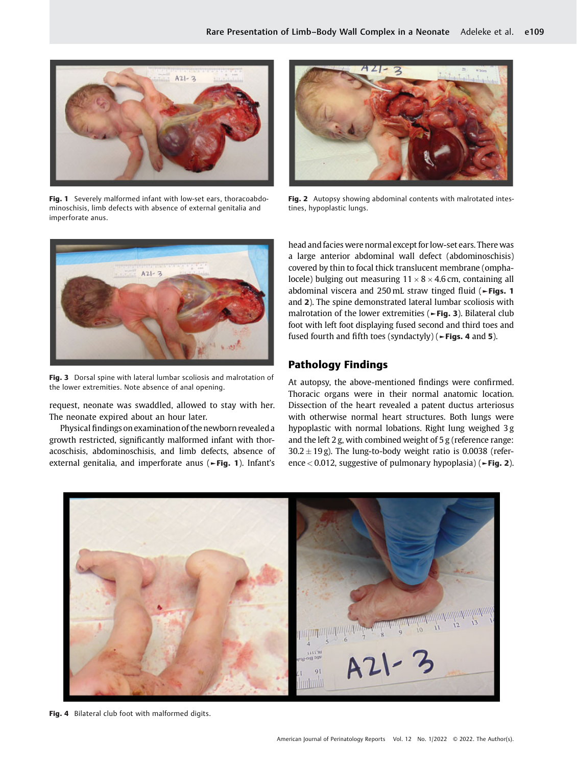

Fig. 1 Severely malformed infant with low-set ears, thoracoabdominoschisis, limb defects with absence of external genitalia and imperforate anus.



Fig. 3 Dorsal spine with lateral lumbar scoliosis and malrotation of the lower extremities. Note absence of anal opening.

request, neonate was swaddled, allowed to stay with her. The neonate expired about an hour later.

Physical findings on examination of the newborn revealed a growth restricted, significantly malformed infant with thoracoschisis, abdominoschisis, and limb defects, absence of external genitalia, and imperforate anus (►Fig. 1). Infant's



Fig. 2 Autopsy showing abdominal contents with malrotated intestines, hypoplastic lungs.

head and facies were normal except for low-set ears. There was a large anterior abdominal wall defect (abdominoschisis) covered by thin to focal thick translucent membrane (omphalocele) bulging out measuring  $11 \times 8 \times 4.6$  cm, containing all abdominal viscera and 250 mL straw tinged fluid (►Figs. 1 and 2). The spine demonstrated lateral lumbar scoliosis with malrotation of the lower extremities (►Fig. 3). Bilateral club foot with left foot displaying fused second and third toes and fused fourth and fifth toes (syndactyly) ( $\blacktriangleright$  Figs. 4 and 5).

### Pathology Findings

At autopsy, the above-mentioned findings were confirmed. Thoracic organs were in their normal anatomic location. Dissection of the heart revealed a patent ductus arteriosus with otherwise normal heart structures. Both lungs were hypoplastic with normal lobations. Right lung weighed 3 g and the left 2 g, with combined weight of 5 g (reference range:  $30.2 \pm 19$  g). The lung-to-body weight ratio is 0.0038 (reference< 0.012, suggestive of pulmonary hypoplasia) (►Fig. 2).



Fig. 4 Bilateral club foot with malformed digits.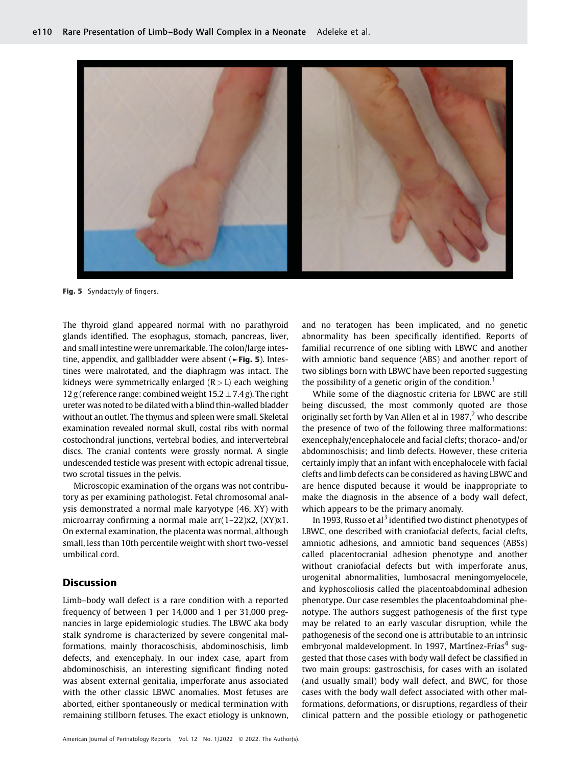

Fig. 5 Syndactyly of fingers.

The thyroid gland appeared normal with no parathyroid glands identified. The esophagus, stomach, pancreas, liver, and small intestine were unremarkable. The colon/large intestine, appendix, and gallbladder were absent (►Fig. 5). Intestines were malrotated, and the diaphragm was intact. The kidneys were symmetrically enlarged  $(R > L)$  each weighing 12 g (reference range: combined weight  $15.2 \pm 7.4$  g). The right ureter was noted to be dilated with a blind thin-walled bladder without an outlet. The thymus and spleen were small. Skeletal examination revealed normal skull, costal ribs with normal costochondral junctions, vertebral bodies, and intervertebral discs. The cranial contents were grossly normal. A single undescended testicle was present with ectopic adrenal tissue, two scrotal tissues in the pelvis.

Microscopic examination of the organs was not contributory as per examining pathologist. Fetal chromosomal analysis demonstrated a normal male karyotype (46, XY) with microarray confirming a normal male arr(1–22)x2, (XY)x1. On external examination, the placenta was normal, although small, less than 10th percentile weight with short two-vessel umbilical cord.

#### Discussion

Limb–body wall defect is a rare condition with a reported frequency of between 1 per 14,000 and 1 per 31,000 pregnancies in large epidemiologic studies. The LBWC aka body stalk syndrome is characterized by severe congenital malformations, mainly thoracoschisis, abdominoschisis, limb defects, and exencephaly. In our index case, apart from abdominoschisis, an interesting significant finding noted was absent external genitalia, imperforate anus associated with the other classic LBWC anomalies. Most fetuses are aborted, either spontaneously or medical termination with remaining stillborn fetuses. The exact etiology is unknown, and no teratogen has been implicated, and no genetic abnormality has been specifically identified. Reports of familial recurrence of one sibling with LBWC and another with amniotic band sequence (ABS) and another report of two siblings born with LBWC have been reported suggesting the possibility of a genetic origin of the condition.<sup>1</sup>

While some of the diagnostic criteria for LBWC are still being discussed, the most commonly quoted are those originally set forth by Van Allen et al in  $1987<sup>2</sup>$  who describe the presence of two of the following three malformations: exencephaly/encephalocele and facial clefts; thoraco- and/or abdominoschisis; and limb defects. However, these criteria certainly imply that an infant with encephalocele with facial clefts and limb defects can be considered as having LBWC and are hence disputed because it would be inappropriate to make the diagnosis in the absence of a body wall defect, which appears to be the primary anomaly.

In 1993, Russo et al<sup>3</sup> identified two distinct phenotypes of LBWC, one described with craniofacial defects, facial clefts, amniotic adhesions, and amniotic band sequences (ABSs) called placentocranial adhesion phenotype and another without craniofacial defects but with imperforate anus, urogenital abnormalities, lumbosacral meningomyelocele, and kyphoscoliosis called the placentoabdominal adhesion phenotype. Our case resembles the placentoabdominal phenotype. The authors suggest pathogenesis of the first type may be related to an early vascular disruption, while the pathogenesis of the second one is attributable to an intrinsic embryonal maldevelopment. In 1997, Martínez-Frías<sup>4</sup> suggested that those cases with body wall defect be classified in two main groups: gastroschisis, for cases with an isolated (and usually small) body wall defect, and BWC, for those cases with the body wall defect associated with other malformations, deformations, or disruptions, regardless of their clinical pattern and the possible etiology or pathogenetic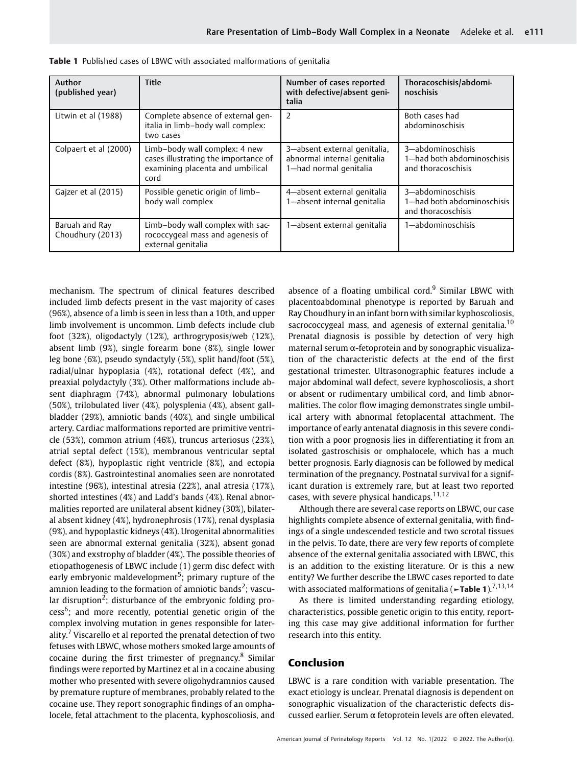| Author<br>(published year)         | Title                                                                                                             | Number of cases reported<br>with defective/absent geni-<br>talia                      | Thoracoschisis/abdomi-<br>noschisis                                   |
|------------------------------------|-------------------------------------------------------------------------------------------------------------------|---------------------------------------------------------------------------------------|-----------------------------------------------------------------------|
| Litwin et al (1988)                | Complete absence of external gen-<br>italia in limb-body wall complex:<br>two cases                               | 2                                                                                     | Both cases had<br>abdominoschisis                                     |
| Colpaert et al (2000)              | Limb-body wall complex: 4 new<br>cases illustrating the importance of<br>examining placenta and umbilical<br>cord | 3-absent external genitalia,<br>abnormal internal genitalia<br>1-had normal genitalia | 3-abdominoschisis<br>1-had both abdominoschisis<br>and thoracoschisis |
| Gajzer et al (2015)                | Possible genetic origin of limb-<br>body wall complex                                                             | 4-absent external genitalia<br>1-absent internal genitalia                            | 3-abdominoschisis<br>1-had both abdominoschisis<br>and thoracoschisis |
| Baruah and Ray<br>Choudhury (2013) | Limb-body wall complex with sac-<br>rococcygeal mass and agenesis of<br>external genitalia                        | 1-absent external genitalia                                                           | 1-abdominoschisis                                                     |

Table 1 Published cases of LBWC with associated malformations of genitalia

mechanism. The spectrum of clinical features described included limb defects present in the vast majority of cases (96%), absence of a limb is seen in less than a 10th, and upper limb involvement is uncommon. Limb defects include club foot (32%), oligodactyly (12%), arthrogryposis/web (12%), absent limb (9%), single forearm bone (8%), single lower leg bone (6%), pseudo syndactyly (5%), split hand/foot (5%), radial/ulnar hypoplasia (4%), rotational defect (4%), and preaxial polydactyly (3%). Other malformations include absent diaphragm (74%), abnormal pulmonary lobulations (50%), trilobulated liver (4%), polysplenia (4%), absent gallbladder (29%), amniotic bands (40%), and single umbilical artery. Cardiac malformations reported are primitive ventricle (53%), common atrium (46%), truncus arteriosus (23%), atrial septal defect (15%), membranous ventricular septal defect (8%), hypoplastic right ventricle (8%), and ectopia cordis (8%). Gastrointestinal anomalies seen are nonrotated intestine (96%), intestinal atresia (22%), anal atresia (17%), shorted intestines (4%) and Ladd's bands (4%). Renal abnormalities reported are unilateral absent kidney (30%), bilateral absent kidney (4%), hydronephrosis (17%), renal dysplasia (9%), and hypoplastic kidneys (4%). Urogenital abnormalities seen are abnormal external genitalia (32%), absent gonad (30%) and exstrophy of bladder (4%). The possible theories of etiopathogenesis of LBWC include (1) germ disc defect with early embryonic maldevelopment<sup>5</sup>; primary rupture of the amnion leading to the formation of amniotic bands<sup>2</sup>; vascular disruption<sup>2</sup>; disturbance of the embryonic folding pro $cess<sup>6</sup>$ ; and more recently, potential genetic origin of the complex involving mutation in genes responsible for laterality.<sup>7</sup> Viscarello et al reported the prenatal detection of two fetuses with LBWC, whose mothers smoked large amounts of cocaine during the first trimester of pregnancy. $8 \text{ Similar}$ findings were reported by Martinez et al in a cocaine abusing mother who presented with severe oligohydramnios caused by premature rupture of membranes, probably related to the cocaine use. They report sonographic findings of an omphalocele, fetal attachment to the placenta, kyphoscoliosis, and

absence of a floating umbilical cord. $9$  Similar LBWC with placentoabdominal phenotype is reported by Baruah and Ray Choudhury in an infant born with similar kyphoscoliosis, sacrococcygeal mass, and agenesis of external genitalia.<sup>10</sup> Prenatal diagnosis is possible by detection of very high maternal serum α-fetoprotein and by sonographic visualization of the characteristic defects at the end of the first gestational trimester. Ultrasonographic features include a major abdominal wall defect, severe kyphoscoliosis, a short or absent or rudimentary umbilical cord, and limb abnormalities. The color flow imaging demonstrates single umbilical artery with abnormal fetoplacental attachment. The importance of early antenatal diagnosis in this severe condition with a poor prognosis lies in differentiating it from an isolated gastroschisis or omphalocele, which has a much better prognosis. Early diagnosis can be followed by medical termination of the pregnancy. Postnatal survival for a significant duration is extremely rare, but at least two reported cases, with severe physical handicaps.<sup>11,12</sup>

Although there are several case reports on LBWC, our case highlights complete absence of external genitalia, with findings of a single undescended testicle and two scrotal tissues in the pelvis. To date, there are very few reports of complete absence of the external genitalia associated with LBWC, this is an addition to the existing literature. Or is this a new entity? We further describe the LBWC cases reported to date with associated malformations of genitalia ( $\blacktriangleright$ Table 1).<sup>7,13,14</sup>

As there is limited understanding regarding etiology, characteristics, possible genetic origin to this entity, reporting this case may give additional information for further research into this entity.

#### Conclusion

LBWC is a rare condition with variable presentation. The exact etiology is unclear. Prenatal diagnosis is dependent on sonographic visualization of the characteristic defects discussed earlier. Serum α fetoprotein levels are often elevated.